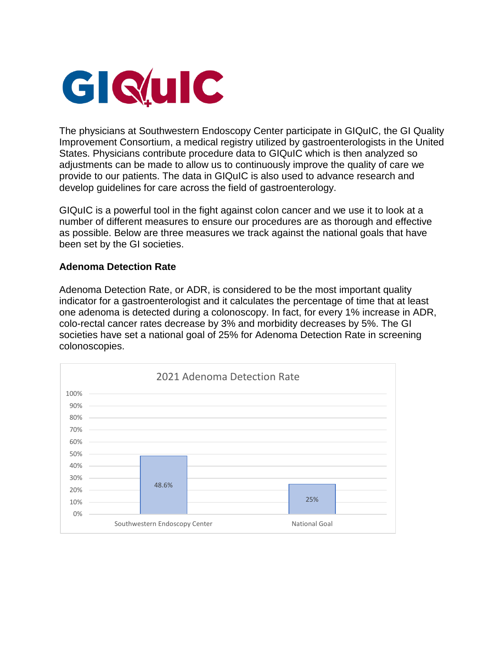

The physicians at Southwestern Endoscopy Center participate in GIQuIC, the GI Quality Improvement Consortium, a medical registry utilized by gastroenterologists in the United States. Physicians contribute procedure data to GIQuIC which is then analyzed so adjustments can be made to allow us to continuously improve the quality of care we provide to our patients. The data in GIQuIC is also used to advance research and develop guidelines for care across the field of gastroenterology.

GIQuIC is a powerful tool in the fight against colon cancer and we use it to look at a number of different measures to ensure our procedures are as thorough and effective as possible. Below are three measures we track against the national goals that have been set by the GI societies.

## **Adenoma Detection Rate**

Adenoma Detection Rate, or ADR, is considered to be the most important quality indicator for a gastroenterologist and it calculates the percentage of time that at least one adenoma is detected during a colonoscopy. In fact, for every 1% increase in ADR, colo-rectal cancer rates decrease by 3% and morbidity decreases by 5%. The GI societies have set a national goal of 25% for Adenoma Detection Rate in screening colonoscopies.